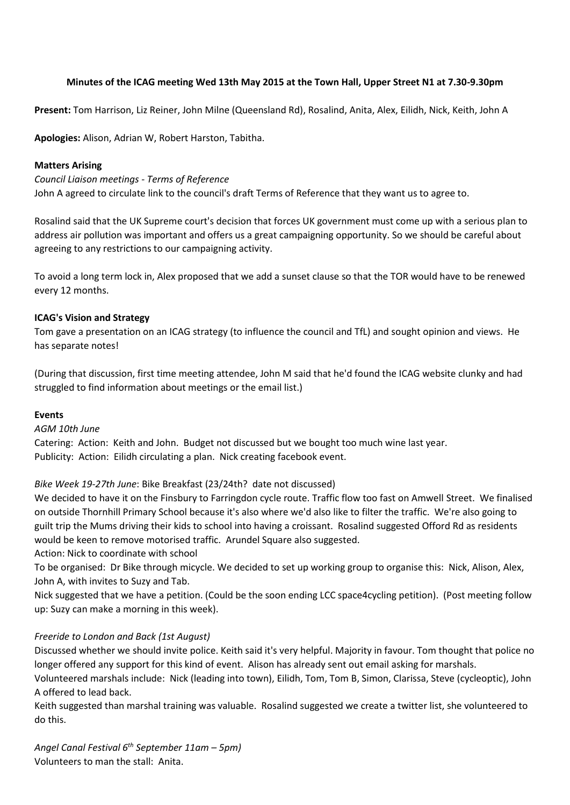# **Minutes of the ICAG meeting Wed 13th May 2015 at the Town Hall, Upper Street N1 at 7.30-9.30pm**

**Present:** Tom Harrison, Liz Reiner, John Milne (Queensland Rd), Rosalind, Anita, Alex, Eilidh, Nick, Keith, John A

**Apologies:** Alison, Adrian W, Robert Harston, Tabitha.

### **Matters Arising**

*Council Liaison meetings - Terms of Reference* John A agreed to circulate link to the council's draft Terms of Reference that they want us to agree to.

Rosalind said that the UK Supreme court's decision that forces UK government must come up with a serious plan to address air pollution was important and offers us a great campaigning opportunity. So we should be careful about agreeing to any restrictions to our campaigning activity.

To avoid a long term lock in, Alex proposed that we add a sunset clause so that the TOR would have to be renewed every 12 months.

## **ICAG's Vision and Strategy**

Tom gave a presentation on an ICAG strategy (to influence the council and TfL) and sought opinion and views. He has separate notes!

(During that discussion, first time meeting attendee, John M said that he'd found the ICAG website clunky and had struggled to find information about meetings or the email list.)

### **Events**

### *AGM 10th June*

Catering: Action: Keith and John. Budget not discussed but we bought too much wine last year. Publicity: Action: Eilidh circulating a plan. Nick creating facebook event.

# *Bike Week 19-27th June*: Bike Breakfast (23/24th? date not discussed)

We decided to have it on the Finsbury to Farringdon cycle route. Traffic flow too fast on Amwell Street. We finalised on outside Thornhill Primary School because it's also where we'd also like to filter the traffic. We're also going to guilt trip the Mums driving their kids to school into having a croissant. Rosalind suggested Offord Rd as residents would be keen to remove motorised traffic. Arundel Square also suggested.

Action: Nick to coordinate with school

To be organised: Dr Bike through micycle. We decided to set up working group to organise this: Nick, Alison, Alex, John A, with invites to Suzy and Tab.

Nick suggested that we have a petition. (Could be the soon ending LCC space4cycling petition). (Post meeting follow up: Suzy can make a morning in this week).

# *Freeride to London and Back (1st August)*

Discussed whether we should invite police. Keith said it's very helpful. Majority in favour. Tom thought that police no longer offered any support for this kind of event. Alison has already sent out email asking for marshals.

Volunteered marshals include: Nick (leading into town), Eilidh, Tom, Tom B, Simon, Clarissa, Steve (cycleoptic), John A offered to lead back.

Keith suggested than marshal training was valuable. Rosalind suggested we create a twitter list, she volunteered to do this.

*Angel Canal Festival 6 th September 11am – 5pm)* Volunteers to man the stall: Anita.